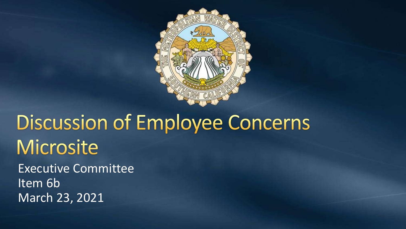

# **Discussion of Employee Concerns** Microsite

Executive Committee Item 6b March 23, 2021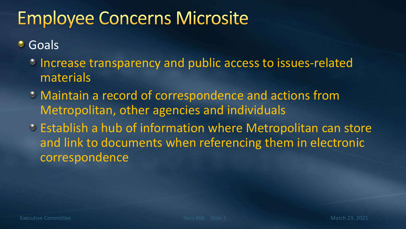# **Employee Concerns Microsite**

Goals ۰

- Increase transparency and public access to issues-related materials
- Maintain a record of correspondence and actions from Metropolitan, other agencies and individuals
- Establish a hub of information where Metropolitan can store and link to documents when referencing them in electronic correspondence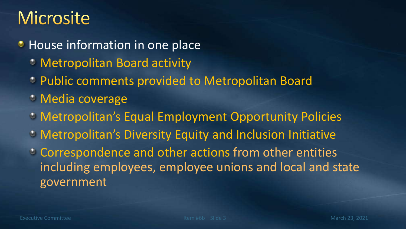#### **Microsite**

**• House information in one place** 

- Metropolitan Board activity
- Public comments provided to Metropolitan Board
- Media coverage
- Metropolitan's Equal Employment Opportunity Policies
- Metropolitan's Diversity Equity and Inclusion Initiative
- Correspondence and other actions from other entities including employees, employee unions and local and state government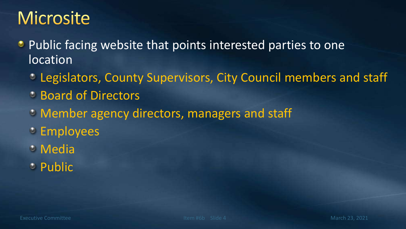#### **Microsite**

- Public facing website that points interested parties to one location
	- Legislators, County Supervisors, City Council members and staff
	- Board of Directors
	- Member agency directors, managers and staff
	- **Employees**
	- **C** Media
	- Public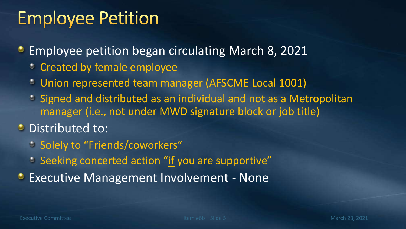**Employee petition began circulating March 8, 2021** 

- **Created by female employee**
- Union represented team manager (AFSCME Local 1001)
- Signed and distributed as an individual and not as a Metropolitan manager (i.e., not under MWD signature block or job title)

#### **O** Distributed to:

- **Solely to "Friends/coworkers"**
- <sup>•</sup> Seeking concerted action "if you are supportive"
- **Executive Management Involvement None**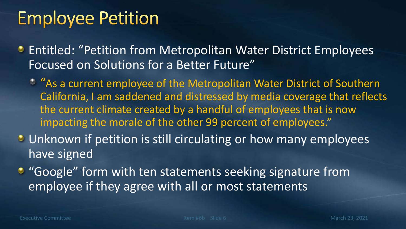- **Entitled: "Petition from Metropolitan Water District Employees** Focused on Solutions for a Better Future"
	- $^{\circ}$  "As a current employee of the Metropolitan Water District of Southern California, I am saddened and distressed by media coverage that reflects the current climate created by a handful of employees that is now impacting the morale of the other 99 percent of employees."
- **Unknown if petition is still circulating or how many employees** have signed
- "Google" form with ten statements seeking signature from employee if they agree with all or most statements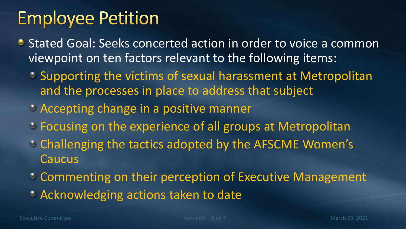- **Stated Goal: Seeks concerted action in order to voice a common** viewpoint on ten factors relevant to the following items:
	- Supporting the victims of sexual harassment at Metropolitan and the processes in place to address that subject
	- Accepting change in a positive manner
	- Focusing on the experience of all groups at Metropolitan
	- Challenging the tactics adopted by the AFSCME Women's Caucus
	- **Commenting on their perception of Executive Management**
	- **CACKnowledging actions taken to date**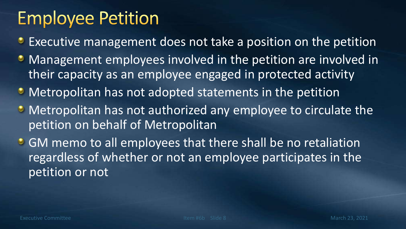- **Executive management does not take a position on the petition**
- Management employees involved in the petition are involved in their capacity as an employee engaged in protected activity
- Metropolitan has not adopted statements in the petition
- Metropolitan has not authorized any employee to circulate the petition on behalf of Metropolitan
- **GM memo to all employees that there shall be no retaliation** regardless of whether or not an employee participates in the petition or not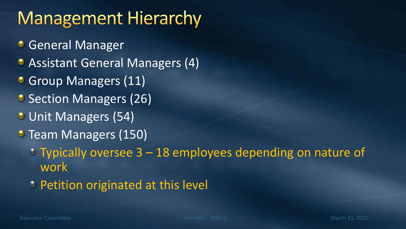# **Management Hierarchy**

- **General Manager**
- Assistant General Managers (4)
- Group Managers (11)
- Section Managers (26)
- Unit Managers (54)
- Team Managers (150)
	- $\degree$  Typically oversee 3 18 employees depending on nature of work
	- Petition originated at this level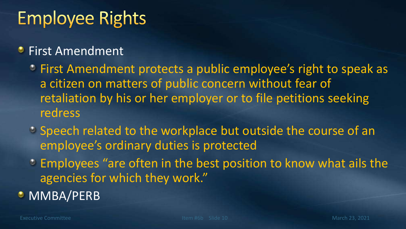# **Employee Rights**

#### **• First Amendment**

- First Amendment protects a public employee's right to speak as a citizen on matters of public concern without fear of retaliation by his or her employer or to file petitions seeking redress
- Speech related to the workplace but outside the course of an employee's ordinary duties is protected
- Employees "are often in the best position to know what ails the agencies for which they work."
- **O** MMBA/PERB